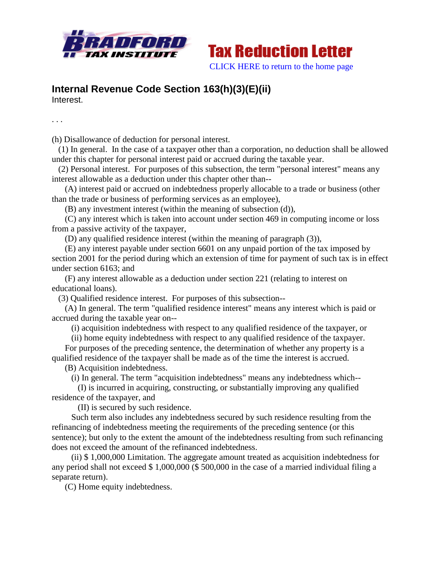



## **Internal Revenue Code Section 163(h)(3)(E)(ii)**

Interest.

. . .

(h) Disallowance of deduction for personal interest.

 (1) In general. In the case of a taxpayer other than a corporation, no deduction shall be allowed under this chapter for personal interest paid or accrued during the taxable year.

 (2) Personal interest. For purposes of this subsection, the term "personal interest" means any interest allowable as a deduction under this chapter other than--

 (A) interest paid or accrued on indebtedness properly allocable to a trade or business (other than the trade or business of performing services as an employee),

(B) any investment interest (within the meaning of subsection (d)),

 (C) any interest which is taken into account under section 469 in computing income or loss from a passive activity of the taxpayer,

(D) any qualified residence interest (within the meaning of paragraph (3)),

 (E) any interest payable under section 6601 on any unpaid portion of the tax imposed by section 2001 for the period during which an extension of time for payment of such tax is in effect under section 6163; and

 (F) any interest allowable as a deduction under section 221 (relating to interest on educational loans).

(3) Qualified residence interest. For purposes of this subsection--

 (A) In general. The term "qualified residence interest" means any interest which is paid or accrued during the taxable year on--

(i) acquisition indebtedness with respect to any qualified residence of the taxpayer, or

(ii) home equity indebtedness with respect to any qualified residence of the taxpayer.

 For purposes of the preceding sentence, the determination of whether any property is a qualified residence of the taxpayer shall be made as of the time the interest is accrued.

(B) Acquisition indebtedness.

(i) In general. The term "acquisition indebtedness" means any indebtedness which--

 (I) is incurred in acquiring, constructing, or substantially improving any qualified residence of the taxpayer, and

(II) is secured by such residence.

 Such term also includes any indebtedness secured by such residence resulting from the refinancing of indebtedness meeting the requirements of the preceding sentence (or this sentence); but only to the extent the amount of the indebtedness resulting from such refinancing does not exceed the amount of the refinanced indebtedness.

 (ii) \$ 1,000,000 Limitation. The aggregate amount treated as acquisition indebtedness for any period shall not exceed \$ 1,000,000 (\$ 500,000 in the case of a married individual filing a separate return).

(C) Home equity indebtedness.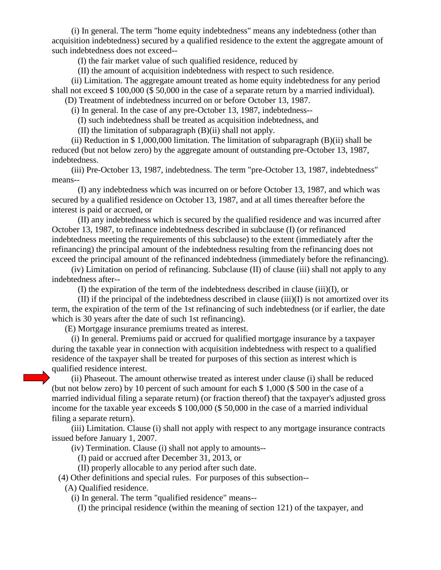(i) In general. The term "home equity indebtedness" means any indebtedness (other than acquisition indebtedness) secured by a qualified residence to the extent the aggregate amount of such indebtedness does not exceed--

(I) the fair market value of such qualified residence, reduced by

(II) the amount of acquisition indebtedness with respect to such residence.

 (ii) Limitation. The aggregate amount treated as home equity indebtedness for any period shall not exceed \$ 100,000 (\$ 50,000 in the case of a separate return by a married individual).

(D) Treatment of indebtedness incurred on or before October 13, 1987.

(i) In general. In the case of any pre-October 13, 1987, indebtedness--

(I) such indebtedness shall be treated as acquisition indebtedness, and

(II) the limitation of subparagraph (B)(ii) shall not apply.

 (ii) Reduction in \$ 1,000,000 limitation. The limitation of subparagraph (B)(ii) shall be reduced (but not below zero) by the aggregate amount of outstanding pre-October 13, 1987, indebtedness.

 (iii) Pre-October 13, 1987, indebtedness. The term "pre-October 13, 1987, indebtedness" means--

 (I) any indebtedness which was incurred on or before October 13, 1987, and which was secured by a qualified residence on October 13, 1987, and at all times thereafter before the interest is paid or accrued, or

 (II) any indebtedness which is secured by the qualified residence and was incurred after October 13, 1987, to refinance indebtedness described in subclause (I) (or refinanced indebtedness meeting the requirements of this subclause) to the extent (immediately after the refinancing) the principal amount of the indebtedness resulting from the refinancing does not exceed the principal amount of the refinanced indebtedness (immediately before the refinancing).

 (iv) Limitation on period of refinancing. Subclause (II) of clause (iii) shall not apply to any indebtedness after--

(I) the expiration of the term of the indebtedness described in clause (iii)(I), or

 $(II)$  if the principal of the indebtedness described in clause  $(iii)(I)$  is not amortized over its term, the expiration of the term of the 1st refinancing of such indebtedness (or if earlier, the date which is 30 years after the date of such 1st refinancing).

(E) Mortgage insurance premiums treated as interest.

 (i) In general. Premiums paid or accrued for qualified mortgage insurance by a taxpayer during the taxable year in connection with acquisition indebtedness with respect to a qualified residence of the taxpayer shall be treated for purposes of this section as interest which is qualified residence interest.

 (ii) Phaseout. The amount otherwise treated as interest under clause (i) shall be reduced (but not below zero) by 10 percent of such amount for each \$ 1,000 (\$ 500 in the case of a married individual filing a separate return) (or fraction thereof) that the taxpayer's adjusted gross income for the taxable year exceeds \$ 100,000 (\$ 50,000 in the case of a married individual filing a separate return).

 (iii) Limitation. Clause (i) shall not apply with respect to any mortgage insurance contracts issued before January 1, 2007.

(iv) Termination. Clause (i) shall not apply to amounts--

(I) paid or accrued after December 31, 2013, or

(II) properly allocable to any period after such date.

(4) Other definitions and special rules. For purposes of this subsection--

(A) Qualified residence.

(i) In general. The term "qualified residence" means--

(I) the principal residence (within the meaning of section 121) of the taxpayer, and